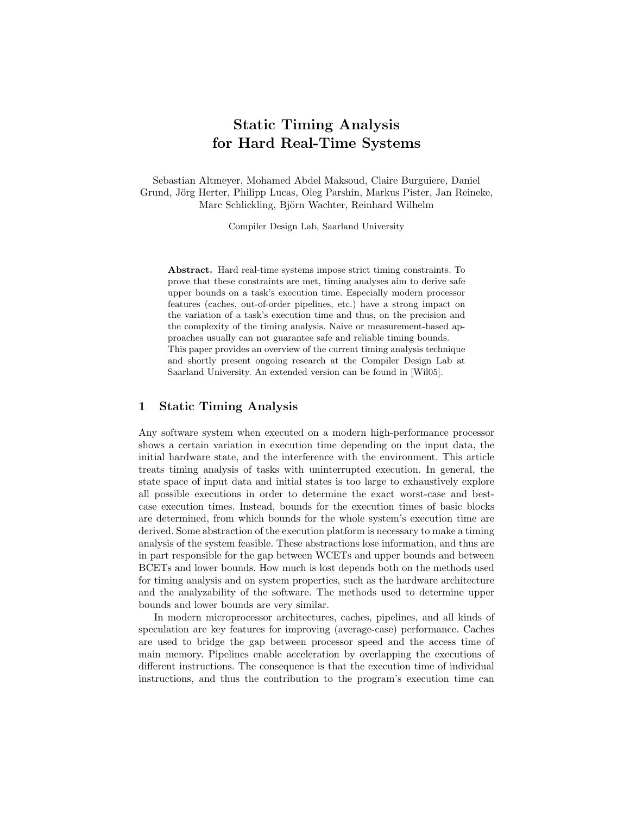# Static Timing Analysis for Hard Real-Time Systems

Sebastian Altmeyer, Mohamed Abdel Maksoud, Claire Burguiere, Daniel Grund, Jörg Herter, Philipp Lucas, Oleg Parshin, Markus Pister, Jan Reineke, Marc Schlickling, Björn Wachter, Reinhard Wilhelm

Compiler Design Lab, Saarland University

Abstract. Hard real-time systems impose strict timing constraints. To prove that these constraints are met, timing analyses aim to derive safe upper bounds on a task's execution time. Especially modern processor features (caches, out-of-order pipelines, etc.) have a strong impact on the variation of a task's execution time and thus, on the precision and the complexity of the timing analysis. Naive or measurement-based approaches usually can not guarantee safe and reliable timing bounds. This paper provides an overview of the current timing analysis technique and shortly present ongoing research at the Compiler Design Lab at Saarland University. An extended version can be found in [Wil05].

# 1 Static Timing Analysis

Any software system when executed on a modern high-performance processor shows a certain variation in execution time depending on the input data, the initial hardware state, and the interference with the environment. This article treats timing analysis of tasks with uninterrupted execution. In general, the state space of input data and initial states is too large to exhaustively explore all possible executions in order to determine the exact worst-case and bestcase execution times. Instead, bounds for the execution times of basic blocks are determined, from which bounds for the whole system's execution time are derived. Some abstraction of the execution platform is necessary to make a timing analysis of the system feasible. These abstractions lose information, and thus are in part responsible for the gap between WCETs and upper bounds and between BCETs and lower bounds. How much is lost depends both on the methods used for timing analysis and on system properties, such as the hardware architecture and the analyzability of the software. The methods used to determine upper bounds and lower bounds are very similar.

In modern microprocessor architectures, caches, pipelines, and all kinds of speculation are key features for improving (average-case) performance. Caches are used to bridge the gap between processor speed and the access time of main memory. Pipelines enable acceleration by overlapping the executions of different instructions. The consequence is that the execution time of individual instructions, and thus the contribution to the program's execution time can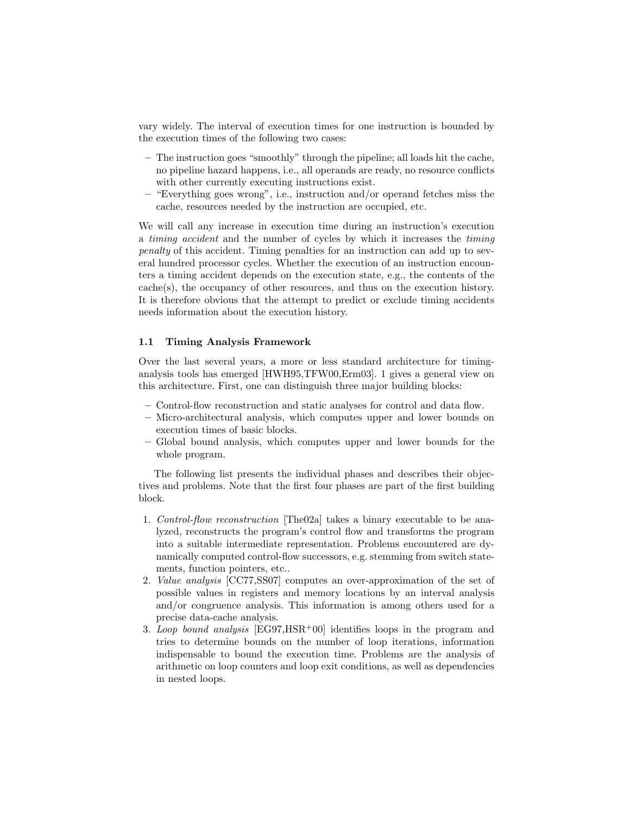vary widely. The interval of execution times for one instruction is bounded by the execution times of the following two cases:

- The instruction goes "smoothly" through the pipeline; all loads hit the cache, no pipeline hazard happens, i.e., all operands are ready, no resource conflicts with other currently executing instructions exist.
- "Everything goes wrong", i.e., instruction and/or operand fetches miss the cache, resources needed by the instruction are occupied, etc.

We will call any increase in execution time during an instruction's execution a timing accident and the number of cycles by which it increases the timing penalty of this accident. Timing penalties for an instruction can add up to several hundred processor cycles. Whether the execution of an instruction encounters a timing accident depends on the execution state, e.g., the contents of the cache(s), the occupancy of other resources, and thus on the execution history. It is therefore obvious that the attempt to predict or exclude timing accidents needs information about the execution history.

### 1.1 Timing Analysis Framework

Over the last several years, a more or less standard architecture for timinganalysis tools has emerged [HWH95,TFW00,Erm03]. 1 gives a general view on this architecture. First, one can distinguish three major building blocks:

- Control-flow reconstruction and static analyses for control and data flow.
- Micro-architectural analysis, which computes upper and lower bounds on execution times of basic blocks.
- Global bound analysis, which computes upper and lower bounds for the whole program.

The following list presents the individual phases and describes their objectives and problems. Note that the first four phases are part of the first building block.

- 1. Control-flow reconstruction [The02a] takes a binary executable to be analyzed, reconstructs the program's control flow and transforms the program into a suitable intermediate representation. Problems encountered are dynamically computed control-flow successors, e.g. stemming from switch statements, function pointers, etc..
- 2. Value analysis [CC77,SS07] computes an over-approximation of the set of possible values in registers and memory locations by an interval analysis and/or congruence analysis. This information is among others used for a precise data-cache analysis.
- 3. Loop bound analysis  $[EG97, HSR<sup>+</sup>00]$  identifies loops in the program and tries to determine bounds on the number of loop iterations, information indispensable to bound the execution time. Problems are the analysis of arithmetic on loop counters and loop exit conditions, as well as dependencies in nested loops.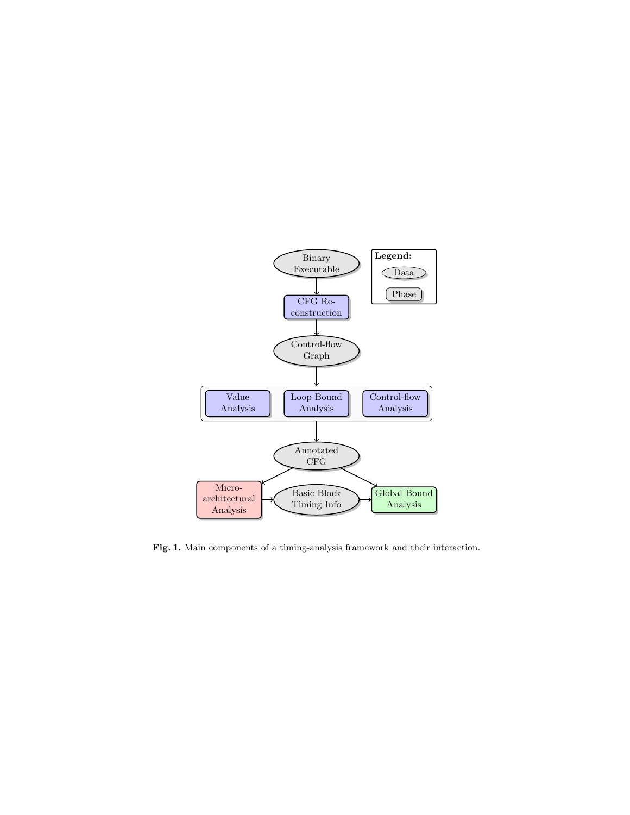

Fig. 1. Main components of a timing-analysis framework and their interaction.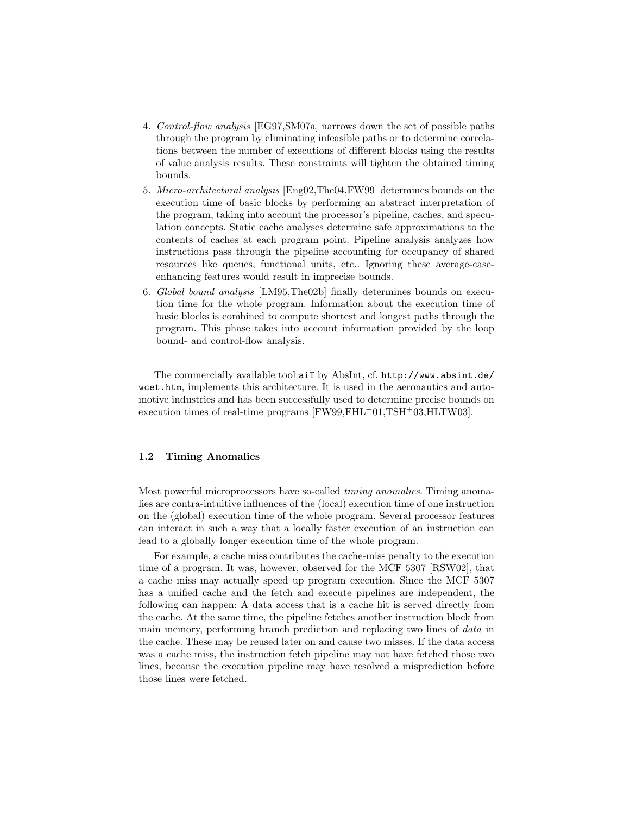- 4. Control-flow analysis [EG97,SM07a] narrows down the set of possible paths through the program by eliminating infeasible paths or to determine correlations between the number of executions of different blocks using the results of value analysis results. These constraints will tighten the obtained timing bounds.
- 5. Micro-architectural analysis [Eng02,The04,FW99] determines bounds on the execution time of basic blocks by performing an abstract interpretation of the program, taking into account the processor's pipeline, caches, and speculation concepts. Static cache analyses determine safe approximations to the contents of caches at each program point. Pipeline analysis analyzes how instructions pass through the pipeline accounting for occupancy of shared resources like queues, functional units, etc.. Ignoring these average-caseenhancing features would result in imprecise bounds.
- 6. Global bound analysis [LM95,The02b] finally determines bounds on execution time for the whole program. Information about the execution time of basic blocks is combined to compute shortest and longest paths through the program. This phase takes into account information provided by the loop bound- and control-flow analysis.

The commercially available tool aiT by AbsInt, cf. http://www.absint.de/ wcet.htm, implements this architecture. It is used in the aeronautics and automotive industries and has been successfully used to determine precise bounds on execution times of real-time programs  $[FW99, FHL<sup>+</sup>01, TSH<sup>+</sup>03, HLTW03]$ .

#### 1.2 Timing Anomalies

Most powerful microprocessors have so-called *timing anomalies*. Timing anomalies are contra-intuitive influences of the (local) execution time of one instruction on the (global) execution time of the whole program. Several processor features can interact in such a way that a locally faster execution of an instruction can lead to a globally longer execution time of the whole program.

For example, a cache miss contributes the cache-miss penalty to the execution time of a program. It was, however, observed for the MCF 5307 [RSW02], that a cache miss may actually speed up program execution. Since the MCF 5307 has a unified cache and the fetch and execute pipelines are independent, the following can happen: A data access that is a cache hit is served directly from the cache. At the same time, the pipeline fetches another instruction block from main memory, performing branch prediction and replacing two lines of data in the cache. These may be reused later on and cause two misses. If the data access was a cache miss, the instruction fetch pipeline may not have fetched those two lines, because the execution pipeline may have resolved a misprediction before those lines were fetched.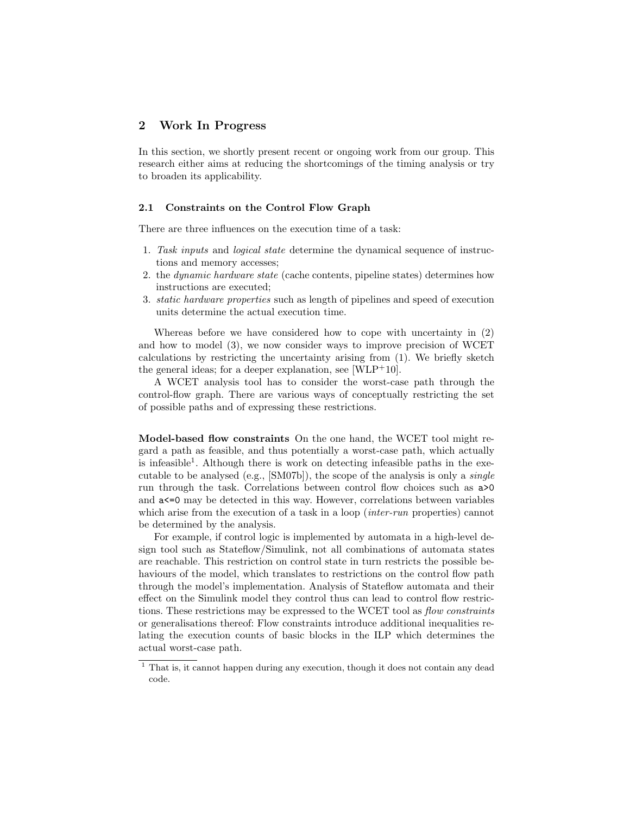# 2 Work In Progress

In this section, we shortly present recent or ongoing work from our group. This research either aims at reducing the shortcomings of the timing analysis or try to broaden its applicability.

#### 2.1 Constraints on the Control Flow Graph

There are three influences on the execution time of a task:

- 1. Task inputs and logical state determine the dynamical sequence of instructions and memory accesses;
- 2. the dynamic hardware state (cache contents, pipeline states) determines how instructions are executed;
- 3. static hardware properties such as length of pipelines and speed of execution units determine the actual execution time.

Whereas before we have considered how to cope with uncertainty in (2) and how to model (3), we now consider ways to improve precision of WCET calculations by restricting the uncertainty arising from (1). We briefly sketch the general ideas; for a deeper explanation, see  $[WD^+10]$ .

A WCET analysis tool has to consider the worst-case path through the control-flow graph. There are various ways of conceptually restricting the set of possible paths and of expressing these restrictions.

Model-based flow constraints On the one hand, the WCET tool might regard a path as feasible, and thus potentially a worst-case path, which actually is infeasible<sup>1</sup>. Although there is work on detecting infeasible paths in the executable to be analysed (e.g., [SM07b]), the scope of the analysis is only a single run through the task. Correlations between control flow choices such as a>0 and a<=0 may be detected in this way. However, correlations between variables which arise from the execution of a task in a loop *(inter-run* properties) cannot be determined by the analysis.

For example, if control logic is implemented by automata in a high-level design tool such as Stateflow/Simulink, not all combinations of automata states are reachable. This restriction on control state in turn restricts the possible behaviours of the model, which translates to restrictions on the control flow path through the model's implementation. Analysis of Stateflow automata and their effect on the Simulink model they control thus can lead to control flow restrictions. These restrictions may be expressed to the WCET tool as flow constraints or generalisations thereof: Flow constraints introduce additional inequalities relating the execution counts of basic blocks in the ILP which determines the actual worst-case path.

<sup>&</sup>lt;sup>1</sup> That is, it cannot happen during any execution, though it does not contain any dead code.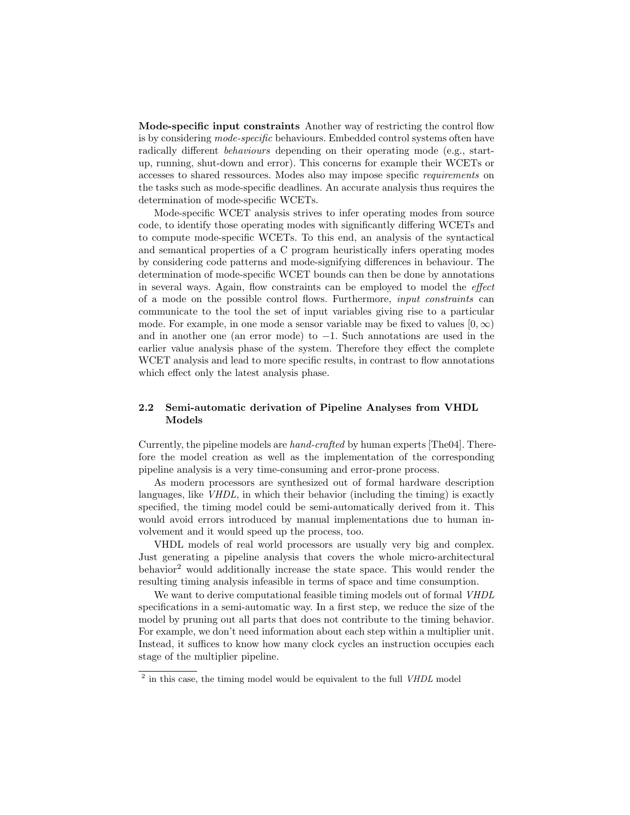Mode-specific input constraints Another way of restricting the control flow is by considering mode-specific behaviours. Embedded control systems often have radically different behaviours depending on their operating mode (e.g., startup, running, shut-down and error). This concerns for example their WCETs or accesses to shared ressources. Modes also may impose specific requirements on the tasks such as mode-specific deadlines. An accurate analysis thus requires the determination of mode-specific WCETs.

Mode-specific WCET analysis strives to infer operating modes from source code, to identify those operating modes with significantly differing WCETs and to compute mode-specific WCETs. To this end, an analysis of the syntactical and semantical properties of a C program heuristically infers operating modes by considering code patterns and mode-signifying differences in behaviour. The determination of mode-specific WCET bounds can then be done by annotations in several ways. Again, flow constraints can be employed to model the effect of a mode on the possible control flows. Furthermore, input constraints can communicate to the tool the set of input variables giving rise to a particular mode. For example, in one mode a sensor variable may be fixed to values  $[0, \infty)$ and in another one (an error mode) to −1. Such annotations are used in the earlier value analysis phase of the system. Therefore they effect the complete WCET analysis and lead to more specific results, in contrast to flow annotations which effect only the latest analysis phase.

## 2.2 Semi-automatic derivation of Pipeline Analyses from VHDL Models

Currently, the pipeline models are hand-crafted by human experts [The04]. Therefore the model creation as well as the implementation of the corresponding pipeline analysis is a very time-consuming and error-prone process.

As modern processors are synthesized out of formal hardware description languages, like VHDL, in which their behavior (including the timing) is exactly specified, the timing model could be semi-automatically derived from it. This would avoid errors introduced by manual implementations due to human involvement and it would speed up the process, too.

VHDL models of real world processors are usually very big and complex. Just generating a pipeline analysis that covers the whole micro-architectural behavior<sup>2</sup> would additionally increase the state space. This would render the resulting timing analysis infeasible in terms of space and time consumption.

We want to derive computational feasible timing models out of formal VHDL specifications in a semi-automatic way. In a first step, we reduce the size of the model by pruning out all parts that does not contribute to the timing behavior. For example, we don't need information about each step within a multiplier unit. Instead, it suffices to know how many clock cycles an instruction occupies each stage of the multiplier pipeline.

 $2$  in this case, the timing model would be equivalent to the full VHDL model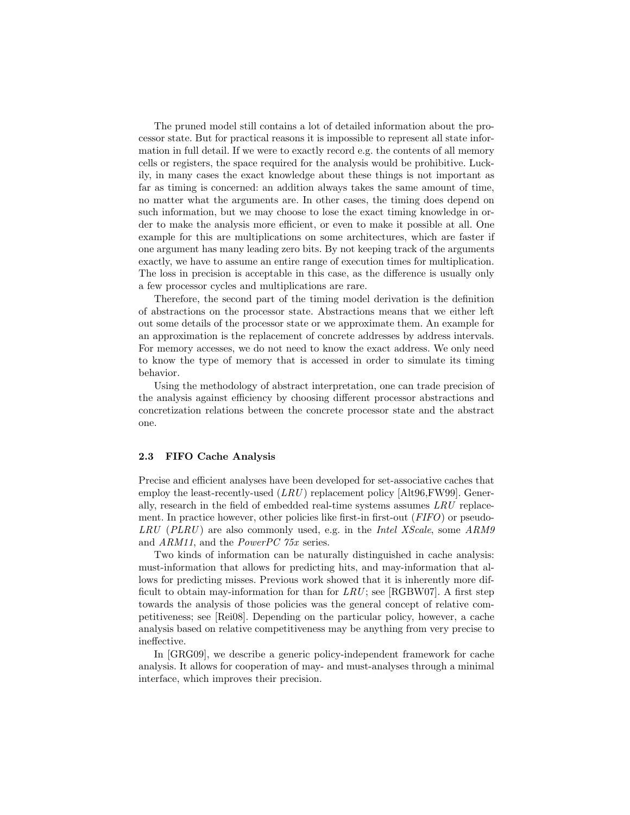The pruned model still contains a lot of detailed information about the processor state. But for practical reasons it is impossible to represent all state information in full detail. If we were to exactly record e.g. the contents of all memory cells or registers, the space required for the analysis would be prohibitive. Luckily, in many cases the exact knowledge about these things is not important as far as timing is concerned: an addition always takes the same amount of time, no matter what the arguments are. In other cases, the timing does depend on such information, but we may choose to lose the exact timing knowledge in order to make the analysis more efficient, or even to make it possible at all. One example for this are multiplications on some architectures, which are faster if one argument has many leading zero bits. By not keeping track of the arguments exactly, we have to assume an entire range of execution times for multiplication. The loss in precision is acceptable in this case, as the difference is usually only a few processor cycles and multiplications are rare.

Therefore, the second part of the timing model derivation is the definition of abstractions on the processor state. Abstractions means that we either left out some details of the processor state or we approximate them. An example for an approximation is the replacement of concrete addresses by address intervals. For memory accesses, we do not need to know the exact address. We only need to know the type of memory that is accessed in order to simulate its timing behavior.

Using the methodology of abstract interpretation, one can trade precision of the analysis against efficiency by choosing different processor abstractions and concretization relations between the concrete processor state and the abstract one.

#### 2.3 FIFO Cache Analysis

Precise and efficient analyses have been developed for set-associative caches that employ the least-recently-used  $(LRU)$  replacement policy [Alt96, FW99]. Generally, research in the field of embedded real-time systems assumes LRU replacement. In practice however, other policies like first-in first-out (*FIFO*) or pseudo- $LRU$  ( $PLRU$ ) are also commonly used, e.g. in the Intel XScale, some  $ARM9$ and ARM11, and the PowerPC 75x series.

Two kinds of information can be naturally distinguished in cache analysis: must-information that allows for predicting hits, and may-information that allows for predicting misses. Previous work showed that it is inherently more difficult to obtain may-information for than for  $LRU$ ; see [RGBW07]. A first step towards the analysis of those policies was the general concept of relative competitiveness; see [Rei08]. Depending on the particular policy, however, a cache analysis based on relative competitiveness may be anything from very precise to ineffective.

In [GRG09], we describe a generic policy-independent framework for cache analysis. It allows for cooperation of may- and must-analyses through a minimal interface, which improves their precision.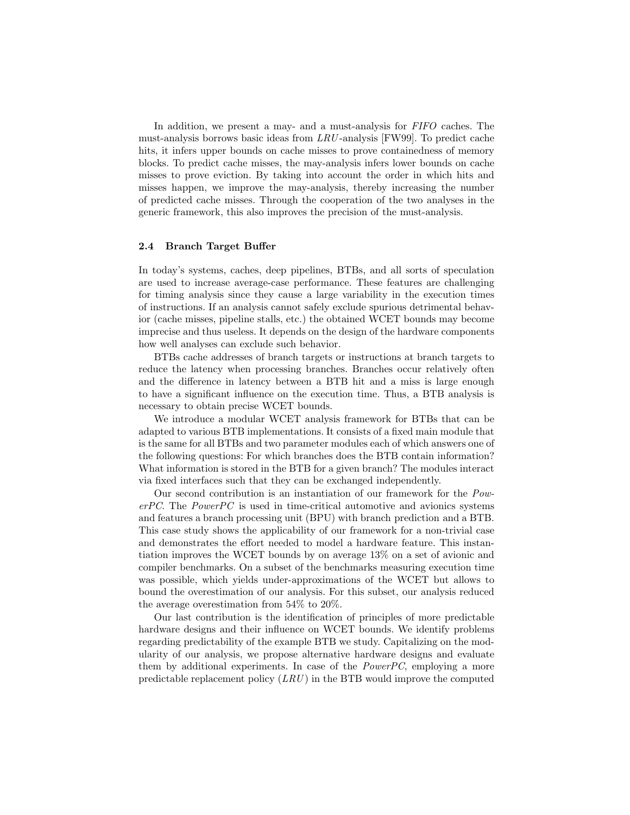In addition, we present a may- and a must-analysis for FIFO caches. The must-analysis borrows basic ideas from  $LRU$ -analysis [FW99]. To predict cache hits, it infers upper bounds on cache misses to prove containedness of memory blocks. To predict cache misses, the may-analysis infers lower bounds on cache misses to prove eviction. By taking into account the order in which hits and misses happen, we improve the may-analysis, thereby increasing the number of predicted cache misses. Through the cooperation of the two analyses in the generic framework, this also improves the precision of the must-analysis.

#### 2.4 Branch Target Buffer

In today's systems, caches, deep pipelines, BTBs, and all sorts of speculation are used to increase average-case performance. These features are challenging for timing analysis since they cause a large variability in the execution times of instructions. If an analysis cannot safely exclude spurious detrimental behavior (cache misses, pipeline stalls, etc.) the obtained WCET bounds may become imprecise and thus useless. It depends on the design of the hardware components how well analyses can exclude such behavior.

BTBs cache addresses of branch targets or instructions at branch targets to reduce the latency when processing branches. Branches occur relatively often and the difference in latency between a BTB hit and a miss is large enough to have a significant influence on the execution time. Thus, a BTB analysis is necessary to obtain precise WCET bounds.

We introduce a modular WCET analysis framework for BTBs that can be adapted to various BTB implementations. It consists of a fixed main module that is the same for all BTBs and two parameter modules each of which answers one of the following questions: For which branches does the BTB contain information? What information is stored in the BTB for a given branch? The modules interact via fixed interfaces such that they can be exchanged independently.

Our second contribution is an instantiation of our framework for the Pow $erPC$ . The PowerPC is used in time-critical automotive and avionics systems and features a branch processing unit (BPU) with branch prediction and a BTB. This case study shows the applicability of our framework for a non-trivial case and demonstrates the effort needed to model a hardware feature. This instantiation improves the WCET bounds by on average 13% on a set of avionic and compiler benchmarks. On a subset of the benchmarks measuring execution time was possible, which yields under-approximations of the WCET but allows to bound the overestimation of our analysis. For this subset, our analysis reduced the average overestimation from 54% to 20%.

Our last contribution is the identification of principles of more predictable hardware designs and their influence on WCET bounds. We identify problems regarding predictability of the example BTB we study. Capitalizing on the modularity of our analysis, we propose alternative hardware designs and evaluate them by additional experiments. In case of the PowerPC, employing a more predictable replacement policy  $(LRU)$  in the BTB would improve the computed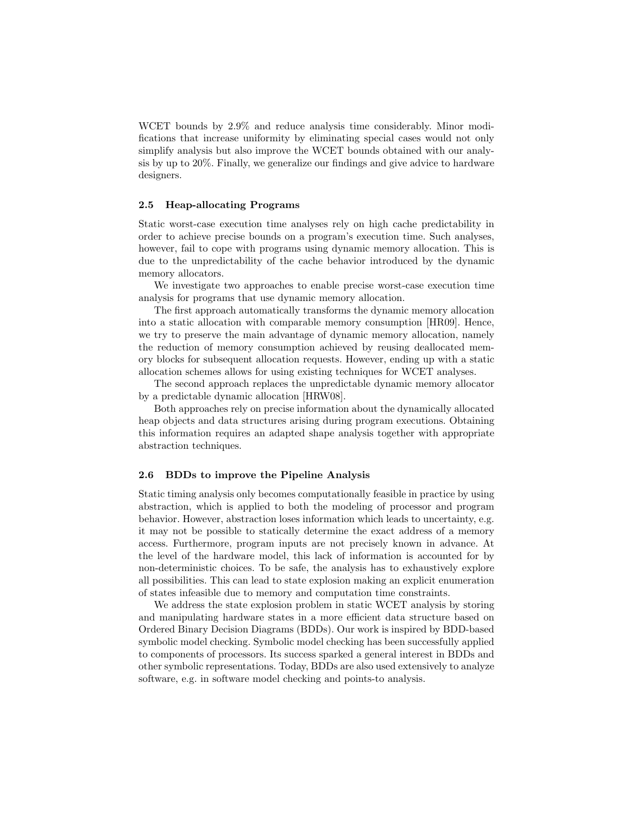WCET bounds by 2.9% and reduce analysis time considerably. Minor modifications that increase uniformity by eliminating special cases would not only simplify analysis but also improve the WCET bounds obtained with our analysis by up to 20%. Finally, we generalize our findings and give advice to hardware designers.

#### 2.5 Heap-allocating Programs

Static worst-case execution time analyses rely on high cache predictability in order to achieve precise bounds on a program's execution time. Such analyses, however, fail to cope with programs using dynamic memory allocation. This is due to the unpredictability of the cache behavior introduced by the dynamic memory allocators.

We investigate two approaches to enable precise worst-case execution time analysis for programs that use dynamic memory allocation.

The first approach automatically transforms the dynamic memory allocation into a static allocation with comparable memory consumption [HR09]. Hence, we try to preserve the main advantage of dynamic memory allocation, namely the reduction of memory consumption achieved by reusing deallocated memory blocks for subsequent allocation requests. However, ending up with a static allocation schemes allows for using existing techniques for WCET analyses.

The second approach replaces the unpredictable dynamic memory allocator by a predictable dynamic allocation [HRW08].

Both approaches rely on precise information about the dynamically allocated heap objects and data structures arising during program executions. Obtaining this information requires an adapted shape analysis together with appropriate abstraction techniques.

#### 2.6 BDDs to improve the Pipeline Analysis

Static timing analysis only becomes computationally feasible in practice by using abstraction, which is applied to both the modeling of processor and program behavior. However, abstraction loses information which leads to uncertainty, e.g. it may not be possible to statically determine the exact address of a memory access. Furthermore, program inputs are not precisely known in advance. At the level of the hardware model, this lack of information is accounted for by non-deterministic choices. To be safe, the analysis has to exhaustively explore all possibilities. This can lead to state explosion making an explicit enumeration of states infeasible due to memory and computation time constraints.

We address the state explosion problem in static WCET analysis by storing and manipulating hardware states in a more efficient data structure based on Ordered Binary Decision Diagrams (BDDs). Our work is inspired by BDD-based symbolic model checking. Symbolic model checking has been successfully applied to components of processors. Its success sparked a general interest in BDDs and other symbolic representations. Today, BDDs are also used extensively to analyze software, e.g. in software model checking and points-to analysis.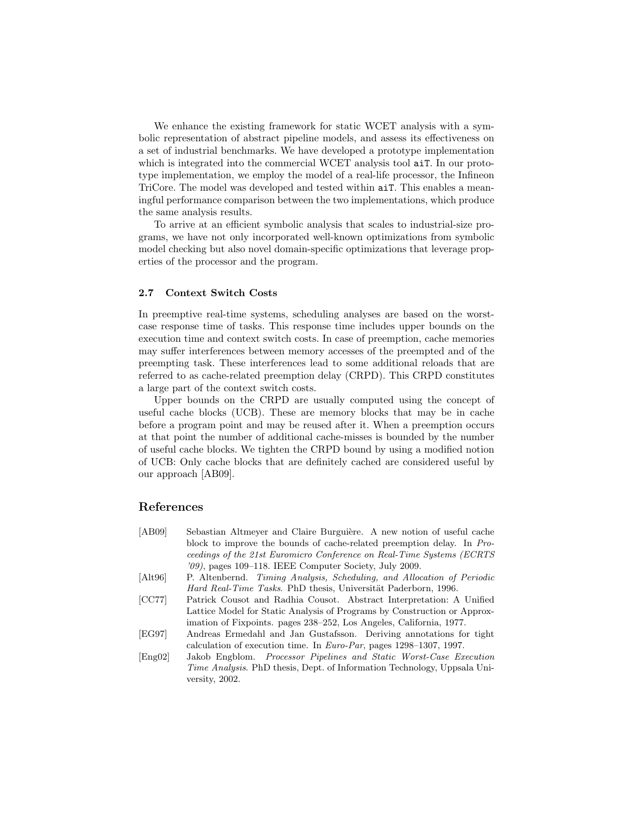We enhance the existing framework for static WCET analysis with a symbolic representation of abstract pipeline models, and assess its effectiveness on a set of industrial benchmarks. We have developed a prototype implementation which is integrated into the commercial WCET analysis tool ait. In our prototype implementation, we employ the model of a real-life processor, the Infineon TriCore. The model was developed and tested within aiT. This enables a meaningful performance comparison between the two implementations, which produce the same analysis results.

To arrive at an efficient symbolic analysis that scales to industrial-size programs, we have not only incorporated well-known optimizations from symbolic model checking but also novel domain-specific optimizations that leverage properties of the processor and the program.

#### 2.7 Context Switch Costs

In preemptive real-time systems, scheduling analyses are based on the worstcase response time of tasks. This response time includes upper bounds on the execution time and context switch costs. In case of preemption, cache memories may suffer interferences between memory accesses of the preempted and of the preempting task. These interferences lead to some additional reloads that are referred to as cache-related preemption delay (CRPD). This CRPD constitutes a large part of the context switch costs.

Upper bounds on the CRPD are usually computed using the concept of useful cache blocks (UCB). These are memory blocks that may be in cache before a program point and may be reused after it. When a preemption occurs at that point the number of additional cache-misses is bounded by the number of useful cache blocks. We tighten the CRPD bound by using a modified notion of UCB: Only cache blocks that are definitely cached are considered useful by our approach [AB09].

# References

- [AB09] Sebastian Altmeyer and Claire Burguière. A new notion of useful cache block to improve the bounds of cache-related preemption delay. In Proceedings of the 21st Euromicro Conference on Real-Time Systems (ECRTS '09), pages 109–118. IEEE Computer Society, July 2009.
- [Alt96] P. Altenbernd. Timing Analysis, Scheduling, and Allocation of Periodic Hard Real-Time Tasks. PhD thesis, Universität Paderborn, 1996.
- [CC77] Patrick Cousot and Radhia Cousot. Abstract Interpretation: A Unified Lattice Model for Static Analysis of Programs by Construction or Approximation of Fixpoints. pages 238–252, Los Angeles, California, 1977.
- [EG97] Andreas Ermedahl and Jan Gustafsson. Deriving annotations for tight calculation of execution time. In Euro-Par, pages 1298–1307, 1997.
- [Eng02] Jakob Engblom. Processor Pipelines and Static Worst-Case Execution Time Analysis. PhD thesis, Dept. of Information Technology, Uppsala University, 2002.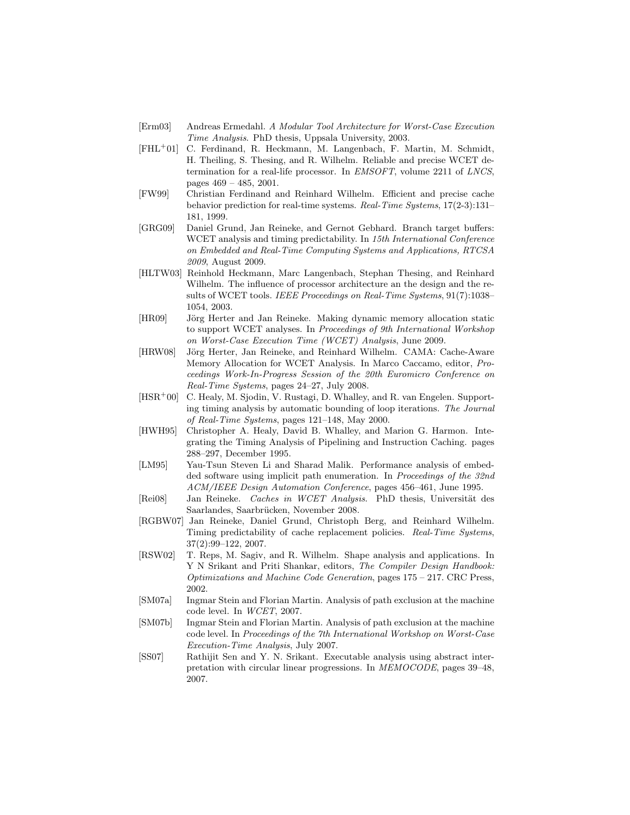- [Erm03] Andreas Ermedahl. A Modular Tool Architecture for Worst-Case Execution Time Analysis. PhD thesis, Uppsala University, 2003.
- [FHL<sup>+</sup>01] C. Ferdinand, R. Heckmann, M. Langenbach, F. Martin, M. Schmidt, H. Theiling, S. Thesing, and R. Wilhelm. Reliable and precise WCET determination for a real-life processor. In  $EMSOFT$ , volume 2211 of  $LNCS$ , pages 469 – 485, 2001.
- [FW99] Christian Ferdinand and Reinhard Wilhelm. Efficient and precise cache behavior prediction for real-time systems. Real-Time Systems, 17(2-3):131– 181, 1999.
- [GRG09] Daniel Grund, Jan Reineke, and Gernot Gebhard. Branch target buffers: WCET analysis and timing predictability. In 15th International Conference on Embedded and Real-Time Computing Systems and Applications, RTCSA 2009, August 2009.
- [HLTW03] Reinhold Heckmann, Marc Langenbach, Stephan Thesing, and Reinhard Wilhelm. The influence of processor architecture an the design and the results of WCET tools. IEEE Proceedings on Real-Time Systems, 91(7):1038– 1054, 2003.
- [HR09] Jörg Herter and Jan Reineke. Making dynamic memory allocation static to support WCET analyses. In Proceedings of 9th International Workshop on Worst-Case Execution Time (WCET) Analysis, June 2009.
- [HRW08] Jörg Herter, Jan Reineke, and Reinhard Wilhelm. CAMA: Cache-Aware Memory Allocation for WCET Analysis. In Marco Caccamo, editor, Proceedings Work-In-Progress Session of the 20th Euromicro Conference on Real-Time Systems, pages 24–27, July 2008.
- [HSR<sup>+</sup>00] C. Healy, M. Sjodin, V. Rustagi, D. Whalley, and R. van Engelen. Supporting timing analysis by automatic bounding of loop iterations. The Journal of Real-Time Systems, pages 121–148, May 2000.
- [HWH95] Christopher A. Healy, David B. Whalley, and Marion G. Harmon. Integrating the Timing Analysis of Pipelining and Instruction Caching. pages 288–297, December 1995.
- [LM95] Yau-Tsun Steven Li and Sharad Malik. Performance analysis of embedded software using implicit path enumeration. In Proceedings of the 32nd ACM/IEEE Design Automation Conference, pages 456–461, June 1995.
- [Rei08] Jan Reineke. Caches in WCET Analysis. PhD thesis, Universität des Saarlandes, Saarbrücken, November 2008.
- [RGBW07] Jan Reineke, Daniel Grund, Christoph Berg, and Reinhard Wilhelm. Timing predictability of cache replacement policies. Real-Time Systems, 37(2):99–122, 2007.
- [RSW02] T. Reps, M. Sagiv, and R. Wilhelm. Shape analysis and applications. In Y N Srikant and Priti Shankar, editors, The Compiler Design Handbook: Optimizations and Machine Code Generation, pages 175 – 217. CRC Press, 2002.
- [SM07a] Ingmar Stein and Florian Martin. Analysis of path exclusion at the machine code level. In WCET, 2007.
- [SM07b] Ingmar Stein and Florian Martin. Analysis of path exclusion at the machine code level. In Proceedings of the 7th International Workshop on Worst-Case Execution-Time Analysis, July 2007.
- [SS07] Rathijit Sen and Y. N. Srikant. Executable analysis using abstract interpretation with circular linear progressions. In MEMOCODE, pages 39–48, 2007.